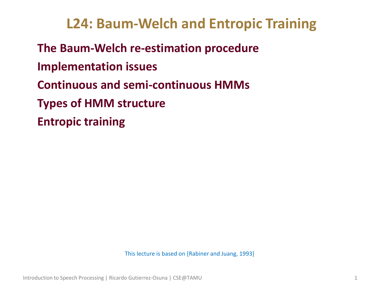# **L24: Baum-Welch and Entropic Training**

• **The Baum-Welch re-estimation procedure** • **Implementation issues** • **Continuous and semi-continuous HMMs** • **Types of HMM structure** • **Entropic training**

This lecture is based on [Rabiner and Juang, 1993]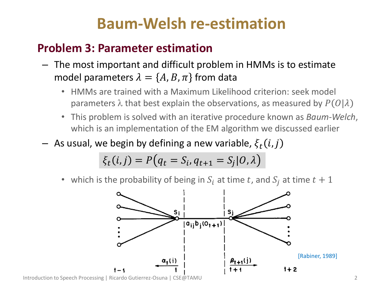# **Baum-Welsh re-estimation**

## • **Problem 3: Parameter estimation**

- The most important and difficult problem in HMMs is to estimate model parameters  $\lambda = \{A, B, \pi\}$  from data
	- HMMs are trained with a Maximum Likelihood criterion: seek model parameters  $\lambda$  that best explain the observations, as measured by  $P(O|\lambda)$
	- This problem is solved with an iterative procedure known as *Baum-Welch*, which is an implementation of the EM algorithm we discussed earlier
- $-$  As usual, we begin by defining a new variable,  $\xi_t(i,j)$

$$
\xi_t(i,j) = P\big(q_t = S_i, q_{t+1} = S_j | O, \lambda\big)
$$

which is the probability of being in  $S_i$  at time t, and  $S_i$  at time  $t + 1$ 



Introduction to Speech Processing | Ricardo Gutierrez-Osuna | CSE@TAMU 2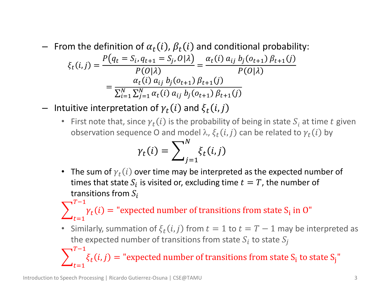- $-$  From the definition of  $\alpha_t(i)$ ,  $\beta_t(i)$  and conditional probability:  $\xi_t(i,j) =$  $P(q_t = S_i, q_{t+1} = S_j, 0 | \lambda)$  $P(O|\lambda$ =  $\alpha_t(i)$   $a_{ij}$   $b_j(o_{t+1})$   $\beta_{t+1}(j)$  $P(O|\lambda$ =  $a_t(i) a_{ij} b_j(o_{t+1}) \beta_{t+1}(j)$  $\sum_{i=1}^{N} \sum_{j=1}^{N} \alpha_t(i) a_{ij} b_j(o_{t+1}) \beta_{t+1}(j)$  $j=1$  $\overline{N}$  $i=1$
- $-$  Intuitive interpretation of  $\gamma_t(i)$  and  $\xi_t(i,j)$ 
	- First note that, since  $\gamma_t(i)$  is the probability of being in state  $S_i$  at time t given observation sequence O and model  $\lambda$ ,  $\xi_t(i,j)$  can be related to  $\gamma_t(i)$  by

$$
\gamma_t(i) = \sum_{j=1}^N \xi_t(i,j)
$$

• The sum of  $\gamma_t(i)$  over time may be interpreted as the expected number of times that state  $S_i$  is visited or, excluding time  $t = T$ , the number of transitions from  $S_i$ 

 $\sum_{l}$   $\gamma_t(i)$  $T-1$  $t=1$  $=$  "expected number of transitions from state  $S_i$  in O"

• Similarly, summation of  $\xi_t(i,j)$  from  $t=1$  to  $t=T-1$  may be interpreted as the expected number of transitions from state  $S_i$  to state  $S_j$ 

 $\sum_{i}$   $\xi_t(i,j)$  $T-1$  $t=1$  $=$  "expected number of transitions from state  $S_i$  to state  $S_j$ "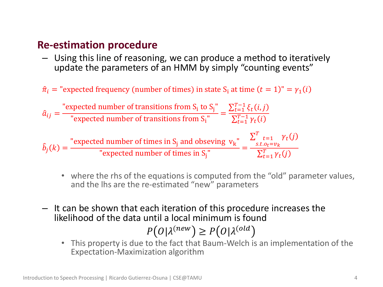#### • **Re-estimation procedure**

– Using this line of reasoning, we can produce a method to iteratively update the parameters of an HMM by simply "counting events"

 $\hat{\pi}_i$  = "expected frequency (number of times) in state S<sub>i</sub> at time  $(t = 1)$ " =  $\gamma_1(i)$ 

$$
\hat{a}_{ij} = \frac{\text{"expected number of transitions from } S_i \text{ to } S_j \text{"}}{\text{ "expected number of transitions from } S_i \text{"}} = \frac{\sum_{t=1}^{T-1} \xi_t(i,j)}{\sum_{t=1}^{T-1} \gamma_t(i)}
$$
\n
$$
\hat{b}_j(k) = \frac{\text{"expected number of times in } S_j \text{ and observing } v_k \text{"}}{\text{ "expected number of times in } S_j \text{"}} = \frac{\sum_{s.t. o_t = v_k}^{T-1} \gamma_t(j)}{\sum_{t=1}^{T} \gamma_t(j)}
$$

- where the rhs of the equations is computed from the "old" parameter values, and the lhs are the re-estimated "new" parameters
- It can be shown that each iteration of this procedure increases the likelihood of the data until a local minimum is found

$$
P\big(O|\lambda^{(new})\geq P\big(O|\lambda^{(old}\big)
$$

• This property is due to the fact that Baum-Welch is an implementation of the Expectation-Maximization algorithm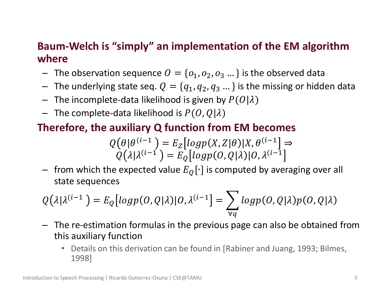#### • **Baum-Welch is "simply" an implementation of the EM algorithm where**

- The observation sequence  $O = \{o_1, o_2, o_3 ...\}$  is the observed data
- The underlying state seq.  $Q = \{q_1, q_2, q_3 ...\}$  is the missing or hidden data
- The incomplete-data likelihood is given by  $P(O|\lambda)$
- The complete-data likelihood is  $P(O,Q|\lambda)$

### • **Therefore, the auxiliary Q function from EM becomes**

$$
Q(\theta | \theta^{(i-1)}) = E_Z[logp(X, Z | \theta)|X, \theta^{(i-1)}] \Rightarrow
$$
  
 
$$
Q(\lambda | \lambda^{(i-1)}) = E_Q[logp(O, Q | \lambda)|O, \lambda^{(i-1)}]
$$

– from which the expected value  $E_{\mathcal{O}}[\cdot]$  is computed by averaging over all state sequences

$$
Q(\lambda|\lambda^{(i-1\,=E_Q[logp(O,Q|\lambda)|O,\lambda^{(i-1}]=\sum_{\forall q}logp(O,Q|\lambda)p(O,Q|\lambda)
$$

- The re-estimation formulas in the previous page can also be obtained from this auxiliary function
	- Details on this derivation can be found in [Rabiner and Juang, 1993; Bilmes, 1998]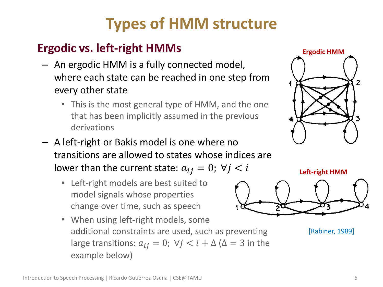# **Types of HMM structure**

## • **Ergodic vs. left-right HMMs**

- An ergodic HMM is a fully connected model, where each state can be reached in one step from every other state
	- This is the most general type of HMM, and the one that has been implicitly assumed in the previous derivations
- A left-right or Bakis model is one where no transitions are allowed to states whose indices are lower than the current state:  $a_{ij} = 0$ ;  $\forall j \leq i$ 
	- Left-right models are best suited to model signals whose properties change over time, such as speech
	- When using left-right models, some additional constraints are used, such as preventing large transitions:  $a_{ij} = 0$ ;  $\forall j \leq i + \Delta (\Delta = 3$  in the example below)





[Rabiner, 1989]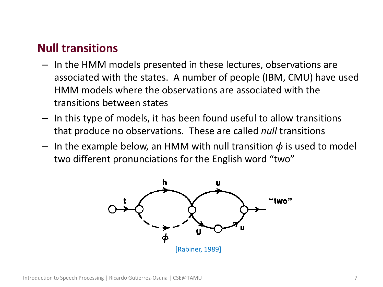### • **Null transitions**

- In the HMM models presented in these lectures, observations are associated with the states. A number of people (IBM, CMU) have used HMM models where the observations are associated with the transitions between states
- In this type of models, it has been found useful to allow transitions that produce no observations. These are called *null* transitions
- In the example below, an HMM with null transition  $\phi$  is used to model two different pronunciations for the English word "two"

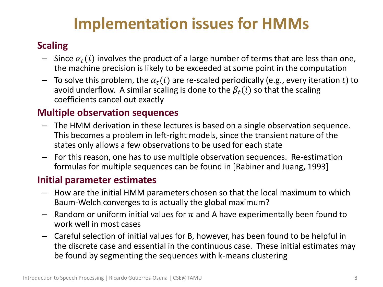# **Implementation issues for HMMs**

#### • **Scaling**

- Since  $\alpha_t(i)$  involves the product of a large number of terms that are less than one, the machine precision is likely to be exceeded at some point in the computation
- $-$  To solve this problem, the  $\alpha_t(i)$  are re-scaled periodically (e.g., every iteration t) to avoid underflow. A similar scaling is done to the  $\beta_t(i)$  so that the scaling coefficients cancel out exactly

#### • **Multiple observation sequences**

- The HMM derivation in these lectures is based on a single observation sequence. This becomes a problem in left-right models, since the transient nature of the states only allows a few observations to be used for each state
- For this reason, one has to use multiple observation sequences. Re-estimation formulas for multiple sequences can be found in [Rabiner and Juang, 1993]

#### • **Initial parameter estimates**

- How are the initial HMM parameters chosen so that the local maximum to which Baum-Welch converges to is actually the global maximum?
- Random or uniform initial values for  $\pi$  and A have experimentally been found to work well in most cases
- Careful selection of initial values for B, however, has been found to be helpful in the discrete case and essential in the continuous case. These initial estimates may be found by segmenting the sequences with k-means clustering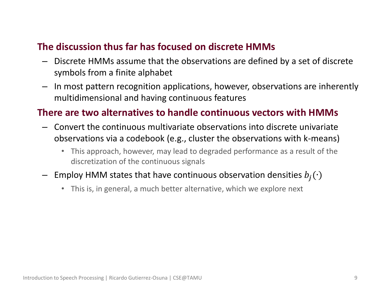#### • **The discussion thus far has focused on discrete HMMs**

- Discrete HMMs assume that the observations are defined by a set of discrete symbols from a finite alphabet
- In most pattern recognition applications, however, observations are inherently multidimensional and having continuous features

#### • **There are two alternatives to handle continuous vectors with HMMs**

- Convert the continuous multivariate observations into discrete univariate observations via a codebook (e.g., cluster the observations with k-means)
	- This approach, however, may lead to degraded performance as a result of the discretization of the continuous signals
- Employ HMM states that have continuous observation densities  $b_j(·)$ 
	- This is, in general, a much better alternative, which we explore next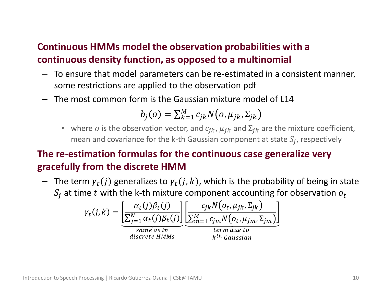#### • **Continuous HMMs model the observation probabilities with a continuous density function, as opposed to a multinomial**

- To ensure that model parameters can be re-estimated in a consistent manner, some restrictions are applied to the observation pdf
- The most common form is the Gaussian mixture model of L14

$$
b_j(o) = \sum_{k=1}^M c_{jk} N(o, \mu_{jk}, \Sigma_{jk})
$$

• where *o* is the observation vector, and  $c_{jk}$ ,  $\mu_{jk}$  and  $\Sigma_{jk}$  are the mixture coefficient, mean and covariance for the k-th Gaussian component at state  $S_j$ , respectively

#### • **The re-estimation formulas for the continuous case generalize very gracefully from the discrete HMM**

– The term  $\gamma_t(j)$  generalizes to  $\gamma_t(j, k)$ , which is the probability of being in state  $S_i$  at time t with the k-th mixture component accounting for observation  $o_t$ 

$$
\gamma_t(j,k) = \underbrace{\left[\frac{\alpha_t(j)\beta_t(j)}{\sum_{j=1}^N \alpha_t(j)\beta_t(j)}\right]}_{same\ as\ in}\underbrace{\left[\frac{c_{jk}N(o_t, \mu_{jk}, \Sigma_{jk})}{\sum_{m=1}^M c_{jm}N(o_t, \mu_{jm}, \Sigma_{jm})}\right]}_{terms\ at\ on\ the\ to\ kth\ Gaussian}
$$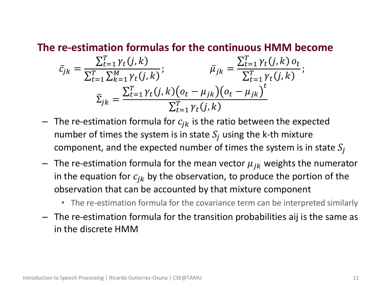#### • **The re-estimation formulas for the continuous HMM become**

$$
\bar{c}_{jk} = \frac{\sum_{t=1}^{T} \gamma_t(j,k)}{\sum_{t=1}^{T} \sum_{k=1}^{M} \gamma_t(j,k)}; \qquad \bar{\mu}_{jk} = \frac{\sum_{t=1}^{T} \gamma_t(j,k) o_t}{\sum_{t=1}^{T} \gamma_t(j,k)}; \n\bar{\Sigma}_{jk} = \frac{\sum_{t=1}^{T} \gamma_t(j,k) (o_t - \mu_{jk}) (o_t - \mu_{jk})^t}{\sum_{t=1}^{T} \gamma_t(j,k)}
$$

- The re-estimation formula for  $c_{jk}$  is the ratio between the expected number of times the system is in state  $S_i$  using the k-th mixture component, and the expected number of times the system is in state  $S_i$
- The re-estimation formula for the mean vector  $\mu_{jk}$  weights the numerator in the equation for  $c_{jk}$  by the observation, to produce the portion of the observation that can be accounted by that mixture component
	- The re-estimation formula for the covariance term can be interpreted similarly
- The re-estimation formula for the transition probabilities aij is the same as in the discrete HMM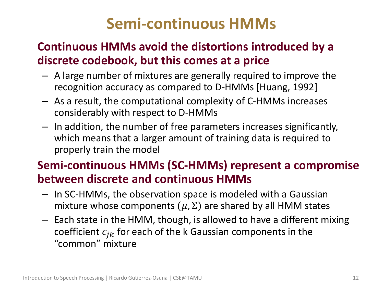# **Semi-continuous HMMs**

## • **Continuous HMMs avoid the distortions introduced by a discrete codebook, but this comes at a price**

- A large number of mixtures are generally required to improve the recognition accuracy as compared to D-HMMs [Huang, 1992]
- As a result, the computational complexity of C-HMMs increases considerably with respect to D-HMMs
- In addition, the number of free parameters increases significantly, which means that a larger amount of training data is required to properly train the model

## • **Semi-continuous HMMs (SC-HMMs) represent a compromise between discrete and continuous HMMs**

- In SC-HMMs, the observation space is modeled with a Gaussian mixture whose components  $(\mu, \Sigma)$  are shared by all HMM states
- Each state in the HMM, though, is allowed to have a different mixing coefficient  $c_{jk}$  for each of the k Gaussian components in the "common" mixture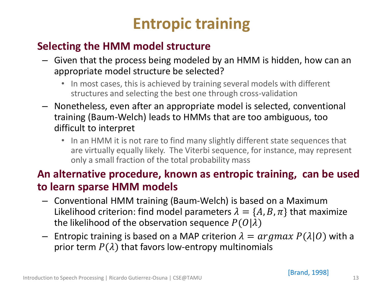# **Entropic training**

### • **Selecting the HMM model structure**

- Given that the process being modeled by an HMM is hidden, how can an appropriate model structure be selected?
	- In most cases, this is achieved by training several models with different structures and selecting the best one through cross-validation
- Nonetheless, even after an appropriate model is selected, conventional training (Baum-Welch) leads to HMMs that are too ambiguous, too difficult to interpret
	- In an HMM it is not rare to find many slightly different state sequences that are virtually equally likely. The Viterbi sequence, for instance, may represent only a small fraction of the total probability mass

### • **An alternative procedure, known as entropic training, can be used to learn sparse HMM models**

- Conventional HMM training (Baum-Welch) is based on a Maximum Likelihood criterion: find model parameters  $\lambda = \{A, B, \pi\}$  that maximize the likelihood of the observation sequence  $P(O|\lambda)$
- Entropic training is based on a MAP criterion  $\lambda = argmax P(\lambda|0)$  with a prior term  $P(\lambda)$  that favors low-entropy multinomials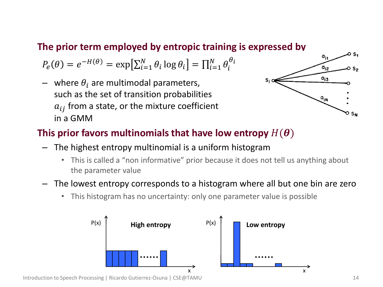#### • **The prior term employed by entropic training is expressed by**

 $P_e(\theta) = e^{-H(\theta)} = \exp\left[\sum_{i=1}^N \theta_i \log \theta_i\right] = \prod_{i=1}^N \theta_i^{\theta_i}$  $i=1$ 

– where  $\theta_i$  are multimodal parameters, such as the set of transition probabilities  $a_{ij}$  from a state, or the mixture coefficient in a GMM



#### This prior favors multinomials that have low entropy  $H(\boldsymbol{\theta})$

- The highest entropy multinomial is a uniform histogram
	- This is called a "non informative" prior because it does not tell us anything about the parameter value
- The lowest entropy corresponds to a histogram where all but one bin are zero
	- This histogram has no uncertainty: only one parameter value is possible



Introduction to Speech Processing | Ricardo Gutierrez-Osuna | CSE@TAMU 14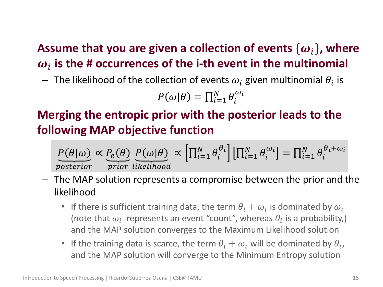## Assume that you are given a collection of events  $\{\boldsymbol{\omega}_i\}$ , where  $\boldsymbol{\omega}_i$  is the # occurrences of the i-th event in the multinomial

 $-$  The likelihood of the collection of events  $\omega_i$  given multinomial  $\theta_i$  is

$$
P(\omega|\theta) = \prod_{i=1}^{N} \theta_i^{\omega_i}
$$

## • **Merging the entropic prior with the posterior leads to the following MAP objective function**

$$
\underbrace{P(\theta|\omega)}_{posterior} \propto \underbrace{P_e(\theta)}_{prior} \underbrace{P(\omega|\theta)}_{likelihood} \propto \left[\prod_{i=1}^{N} \theta_i^{\theta_i}\right] \left[\prod_{i=1}^{N} \theta_i^{\omega_i}\right] = \prod_{i=1}^{N} \theta_i^{\theta_i + \omega_i}
$$

- The MAP solution represents a compromise between the prior and the likelihood
	- If there is sufficient training data, the term  $\theta_i + \omega_i$  is dominated by  $\omega_i$ (note that  $\omega_i$  represents an event "count", whereas  $\theta_i$  is a probability,) and the MAP solution converges to the Maximum Likelihood solution
	- If the training data is scarce, the term  $\theta_i + \omega_i$  will be dominated by  $\theta_i$ , and the MAP solution will converge to the Minimum Entropy solution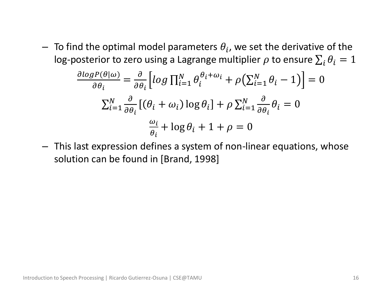$-$  To find the optimal model parameters  $\theta_i$ , we set the derivative of the log-posterior to zero using a Lagrange multiplier  $\rho$  to ensure  $\sum_i \theta_i = 1$ 

$$
\frac{\partial \log P(\theta|\omega)}{\partial \theta_i} = \frac{\partial}{\partial \theta_i} \Big[ \log \prod_{i=1}^N \theta_i^{\theta_i + \omega_i} + \rho \Big( \sum_{i=1}^N \theta_i - 1 \Big) \Big] = 0
$$
  

$$
\sum_{i=1}^N \frac{\partial}{\partial \theta_i} \Big[ (\theta_i + \omega_i) \log \theta_i \Big] + \rho \sum_{i=1}^N \frac{\partial}{\partial \theta_i} \theta_i = 0
$$
  

$$
\frac{\omega_i}{\theta_i} + \log \theta_i + 1 + \rho = 0
$$

– This last expression defines a system of non-linear equations, whose solution can be found in [Brand, 1998]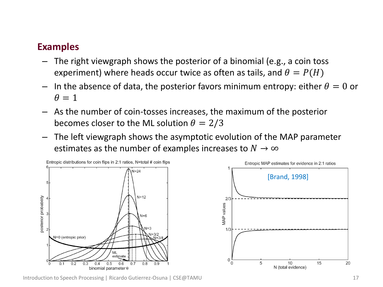#### • **Examples**

- The right viewgraph shows the posterior of a binomial (e.g., a coin toss experiment) where heads occur twice as often as tails, and  $\theta = P(H)$
- In the absence of data, the posterior favors minimum entropy: either  $\theta = 0$  or  $\theta = 1$
- As the number of coin-tosses increases, the maximum of the posterior becomes closer to the ML solution  $\theta = 2/3$
- The left viewgraph shows the asymptotic evolution of the MAP parameter estimates as the number of examples increases to  $N \to \infty$





Introduction to Speech Processing | Ricardo Gutierrez-Osuna | CSE@TAMU 17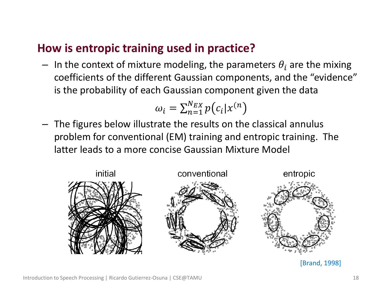### • **How is entropic training used in practice?**

– In the context of mixture modeling, the parameters  $\theta_i$  are the mixing coefficients of the different Gaussian components, and the "evidence" is the probability of each Gaussian component given the data

$$
\omega_i = \sum_{n=1}^{N_{EX}} p(c_i | x^{(n})
$$

– The figures below illustrate the results on the classical annulus problem for conventional (EM) training and entropic training. The latter leads to a more concise Gaussian Mixture Model



[Brand, 1998]